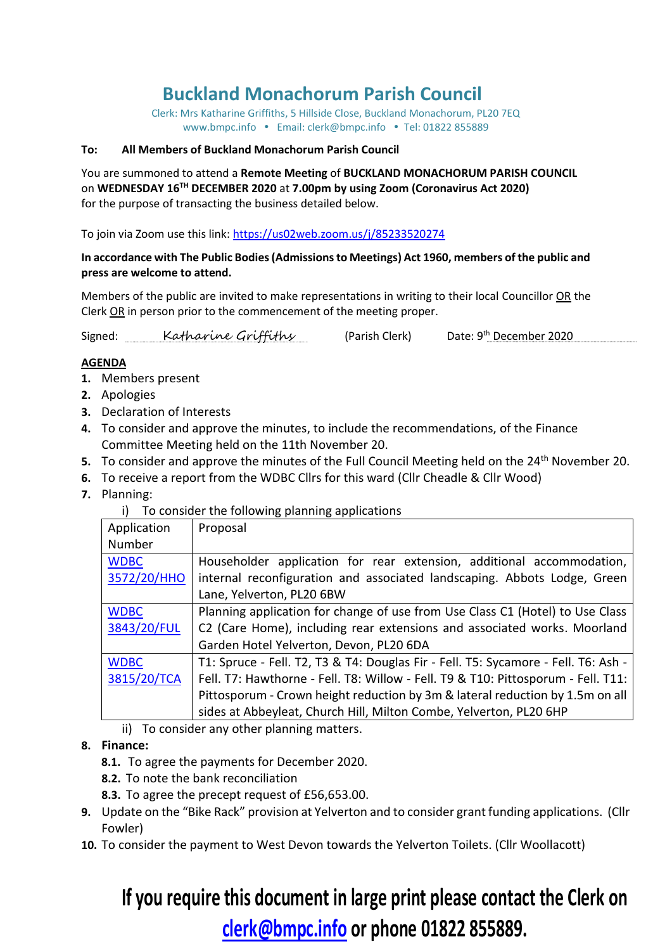# **Buckland Monachorum Parish Council**

Clerk: Mrs Katharine Griffiths, 5 Hillside Close, Buckland Monachorum, PL20 7EQ [www.bmpc.info](http://www.bmpc.info/) · Email: clerk@bmpc.info · Tel: 01822 855889

#### **To: All Members of Buckland Monachorum Parish Council**

You are summoned to attend a **Remote Meeting** of **BUCKLAND MONACHORUM PARISH COUNCIL** on **WEDNESDAY 16TH DECEMBER 2020** at **7.00pm by using Zoom (Coronavirus Act 2020)**  for the purpose of transacting the business detailed below.

To join via Zoom use this link: <https://us02web.zoom.us/j/85233520274>

#### **In accordance with The Public Bodies (Admissions to Meetings) Act 1960, members of the public and press are welcome to attend.**

Members of the public are invited to make representations in writing to their local Councillor OR the Clerk OR in person prior to the commencement of the meeting proper.

Signed: <u>Katharine Griffithy</u> (Parish Clerk) Date: 9<sup>th</sup> December 2020

#### **AGENDA**

- **1.** Members present
- **2.** Apologies
- **3.** Declaration of Interests
- **4.** To consider and approve the minutes, to include the recommendations, of the Finance Committee Meeting held on the 11th November 20.
- **5.** To consider and approve the minutes of the Full Council Meeting held on the 24<sup>th</sup> November 20.
- **6.** To receive a report from the WDBC Cllrs for this ward (Cllr Cheadle & Cllr Wood)
- **7.** Planning:
	- i) To consider the following planning applications

| Application | Proposal                                                                           |
|-------------|------------------------------------------------------------------------------------|
| Number      |                                                                                    |
| <b>WDBC</b> | Householder application for rear extension, additional accommodation,              |
| 3572/20/HHO | internal reconfiguration and associated landscaping. Abbots Lodge, Green           |
|             | Lane, Yelverton, PL20 6BW                                                          |
| <b>WDBC</b> | Planning application for change of use from Use Class C1 (Hotel) to Use Class      |
| 3843/20/FUL | C2 (Care Home), including rear extensions and associated works. Moorland           |
|             | Garden Hotel Yelverton, Devon, PL20 6DA                                            |
| <b>WDBC</b> | T1: Spruce - Fell. T2, T3 & T4: Douglas Fir - Fell. T5: Sycamore - Fell. T6: Ash - |
| 3815/20/TCA | Fell. T7: Hawthorne - Fell. T8: Willow - Fell. T9 & T10: Pittosporum - Fell. T11:  |
|             | Pittosporum - Crown height reduction by 3m & lateral reduction by 1.5m on all      |
|             | sides at Abbeyleat, Church Hill, Milton Combe, Yelverton, PL20 6HP                 |

ii) To consider any other planning matters.

#### **8. Finance:**

- **8.1.** To agree the payments for December 2020.
- **8.2.** To note the bank reconciliation
- **8.3.** To agree the precept request of £56,653.00.
- **9.** Update on the "Bike Rack" provision at Yelverton and to consider grant funding applications. (Cllr Fowler)
- **10.** To consider the payment to West Devon towards the Yelverton Toilets. (Cllr Woollacott)

# **If you require this document in large print please contact the Clerk on clerk@bmpc.info or phone 01822 855889.**